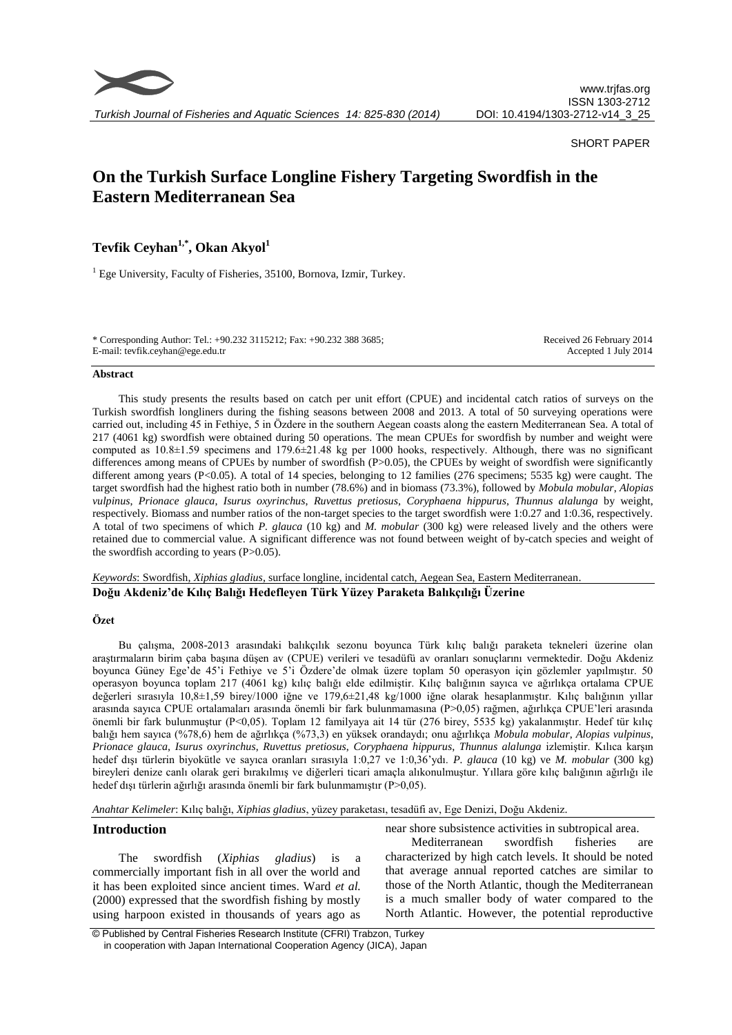

#### SHORT PAPER

# **On the Turkish Surface Longline Fishery Targeting Swordfish in the Eastern Mediterranean Sea**

## **Tevfik Ceyhan1,\*, Okan Akyol<sup>1</sup>**

 $<sup>1</sup>$  Ege University, Faculty of Fisheries, 35100, Bornova, Izmir, Turkey.</sup>

\* Corresponding Author: Tel.: +90.232 3115212; Fax: +90.232 388 3685; E-mail: tevfik.ceyhan@ege.edu.tr

Received 26 February 2014 Accepted 1 July 2014

#### **Abstract**

This study presents the results based on catch per unit effort (CPUE) and incidental catch ratios of surveys on the Turkish swordfish longliners during the fishing seasons between 2008 and 2013. A total of 50 surveying operations were carried out, including 45 in Fethiye, 5 in Özdere in the southern Aegean coasts along the eastern Mediterranean Sea. A total of 217 (4061 kg) swordfish were obtained during 50 operations. The mean CPUEs for swordfish by number and weight were computed as 10.8±1.59 specimens and 179.6±21.48 kg per 1000 hooks, respectively. Although, there was no significant differences among means of CPUEs by number of swordfish (P>0.05), the CPUEs by weight of swordfish were significantly different among years (P<0.05). A total of 14 species, belonging to 12 families (276 specimens; 5535 kg) were caught. The target swordfish had the highest ratio both in number (78.6%) and in biomass (73.3%), followed by *Mobula mobular*, *Alopias vulpinus*, *Prionace glauca*, *Isurus oxyrinchus*, *Ruvettus pretiosus*, *Coryphaena hippurus*, *Thunnus alalunga* by weight, respectively. Biomass and number ratios of the non-target species to the target swordfish were 1:0.27 and 1:0.36, respectively. A total of two specimens of which *P. glauca* (10 kg) and *M. mobular* (300 kg) were released lively and the others were retained due to commercial value. A significant difference was not found between weight of by-catch species and weight of the swordfish according to years (P>0.05).

*Keywords*: Swordfish, *Xiphias gladius*, surface longline, incidental catch, Aegean Sea, Eastern Mediterranean.

#### **Doğu Akdeniz'de Kılıç Balığı Hedefleyen Türk Yüzey Paraketa Balıkçılığı Üzerine**

### **Özet**

Bu çalışma, 2008-2013 arasındaki balıkçılık sezonu boyunca Türk kılıç balığı paraketa tekneleri üzerine olan araştırmaların birim çaba başına düşen av (CPUE) verileri ve tesadüfü av oranları sonuçlarını vermektedir. Doğu Akdeniz boyunca Güney Ege'de 45'i Fethiye ve 5'i Özdere'de olmak üzere toplam 50 operasyon için gözlemler yapılmıştır. 50 operasyon boyunca toplam 217 (4061 kg) kılıç balığı elde edilmiştir. Kılıç balığının sayıca ve ağırlıkça ortalama CPUE değerleri sırasıyla 10,8±1,59 birey/1000 iğne ve 179,6±21,48 kg/1000 iğne olarak hesaplanmıştır. Kılıç balığının yıllar arasında sayıca CPUE ortalamaları arasında önemli bir fark bulunmamasına (P>0,05) rağmen, ağırlıkça CPUE'leri arasında önemli bir fark bulunmuştur (P<0,05). Toplam 12 familyaya ait 14 tür (276 birey, 5535 kg) yakalanmıştır. Hedef tür kılıç balığı hem sayıca (%78,6) hem de ağırlıkça (%73,3) en yüksek orandaydı; onu ağırlıkça *Mobula mobular*, *Alopias vulpinus*, *Prionace glauca*, *Isurus oxyrinchus*, *Ruvettus pretiosus*, *Coryphaena hippurus*, *Thunnus alalunga* izlemiştir. Kılıca karşın hedef dışı türlerin biyokütle ve sayıca oranları sırasıyla 1:0,27 ve 1:0,36'ydı. *P. glauca* (10 kg) ve *M. mobular* (300 kg) bireyleri denize canlı olarak geri bırakılmış ve diğerleri ticari amaçla alıkonulmuştur. Yıllara göre kılıç balığının ağırlığı ile hedef dışı türlerin ağırlığı arasında önemli bir fark bulunmamıştır (P>0,05).

*Anahtar Kelimeler*: Kılıç balığı, *Xiphias gladius*, yüzey paraketası, tesadüfi av, Ege Denizi, Doğu Akdeniz.

#### **Introduction**

The swordfish (*Xiphias gladius*) is commercially important fish in all over the world and it has been exploited since ancient times. Ward *et al.* (2000) expressed that the swordfish fishing by mostly using harpoon existed in thousands of years ago as near shore subsistence activities in subtropical area.

Mediterranean swordfish fisheries are characterized by high catch levels. It should be noted that average annual reported catches are similar to those of the North Atlantic, though the Mediterranean is a much smaller body of water compared to the North Atlantic. However, the potential reproductive

© Published by Central Fisheries Research Institute (CFRI) Trabzon, Turkey in cooperation with Japan International Cooperation Agency (JICA), Japan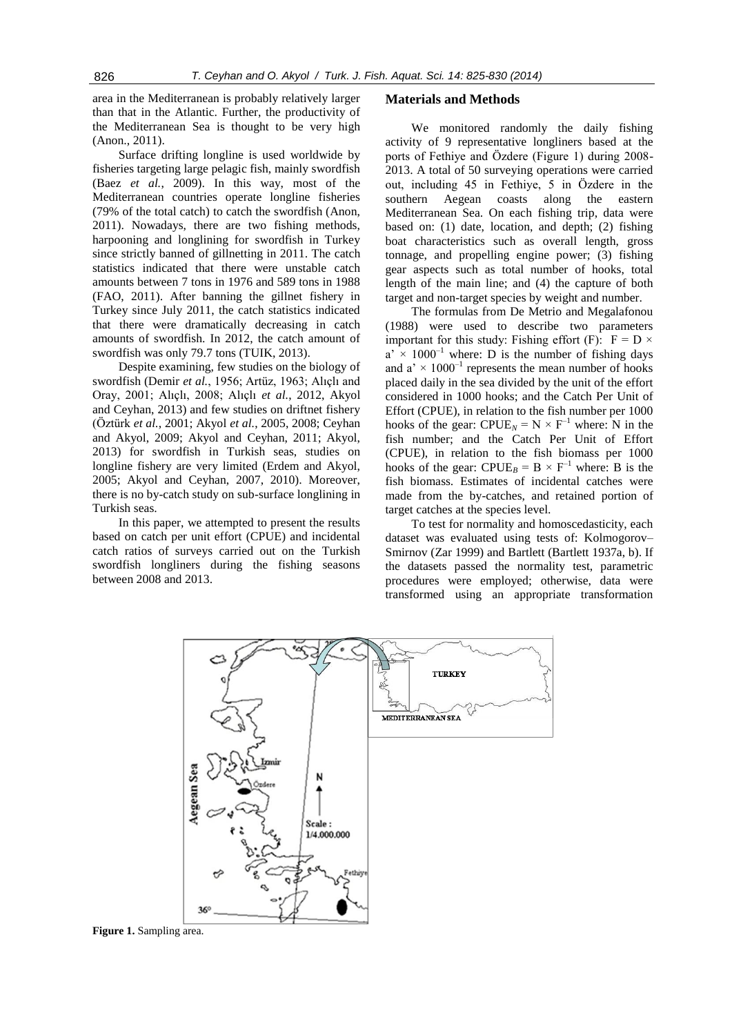area in the Mediterranean is probably relatively larger than that in the Atlantic. Further, the productivity of the Mediterranean Sea is thought to be very high (Anon., 2011).

Surface drifting longline is used worldwide by fisheries targeting large pelagic fish, mainly swordfish (Baez *et al.*, 2009). In this way, most of the Mediterranean countries operate longline fisheries (79% of the total catch) to catch the swordfish (Anon, 2011). Nowadays, there are two fishing methods, harpooning and longlining for swordfish in Turkey since strictly banned of gillnetting in 2011. The catch statistics indicated that there were unstable catch amounts between 7 tons in 1976 and 589 tons in 1988 (FAO, 2011). After banning the gillnet fishery in Turkey since July 2011, the catch statistics indicated that there were dramatically decreasing in catch amounts of swordfish. In 2012, the catch amount of swordfish was only 79.7 tons (TUIK, 2013).

Despite examining, few studies on the biology of swordfish (Demir *et al.*, 1956; Artüz, 1963; Alıçlı and Oray, 2001; Alıçlı, 2008; Alıçlı *et al.*, 2012, Akyol and Ceyhan, 2013) and few studies on driftnet fishery (Öztürk *et al.*, 2001; Akyol *et al.*, 2005, 2008; Ceyhan and Akyol, 2009; Akyol and Ceyhan, 2011; Akyol, 2013) for swordfish in Turkish seas, studies on longline fishery are very limited (Erdem and Akyol, 2005; Akyol and Ceyhan, 2007, 2010). Moreover, there is no by-catch study on sub-surface longlining in Turkish seas.

In this paper, we attempted to present the results based on catch per unit effort (CPUE) and incidental catch ratios of surveys carried out on the Turkish swordfish longliners during the fishing seasons between 2008 and 2013.

#### **Materials and Methods**

We monitored randomly the daily fishing activity of 9 representative longliners based at the ports of Fethiye and Özdere (Figure 1) during 2008- 2013. A total of 50 surveying operations were carried out, including 45 in Fethiye, 5 in Özdere in the southern Aegean coasts along the eastern Mediterranean Sea. On each fishing trip, data were based on: (1) date, location, and depth; (2) fishing boat characteristics such as overall length, gross tonnage, and propelling engine power; (3) fishing gear aspects such as total number of hooks, total length of the main line; and (4) the capture of both target and non-target species by weight and number.

The formulas from De Metrio and Megalafonou (1988) were used to describe two parameters important for this study: Fishing effort (F):  $F = D \times$  $a' \times 1000^{-1}$  where: D is the number of fishing days and  $a' \times 1000^{-1}$  represents the mean number of hooks placed daily in the sea divided by the unit of the effort considered in 1000 hooks; and the Catch Per Unit of Effort (CPUE), in relation to the fish number per 1000 hooks of the gear: CPUE<sub>N</sub> =  $N \times F^{-1}$  where: N in the fish number; and the Catch Per Unit of Effort (CPUE), in relation to the fish biomass per 1000 hooks of the gear: CPUE<sub>B</sub> = B  $\times$  F<sup>-1</sup> where: B is the fish biomass. Estimates of incidental catches were made from the by-catches, and retained portion of target catches at the species level.

To test for normality and homoscedasticity, each dataset was evaluated using tests of: Kolmogorov– Smirnov (Zar 1999) and Bartlett (Bartlett 1937a, b). If the datasets passed the normality test, parametric procedures were employed; otherwise, data were transformed using an appropriate transformation



**Figure 1.** Sampling area.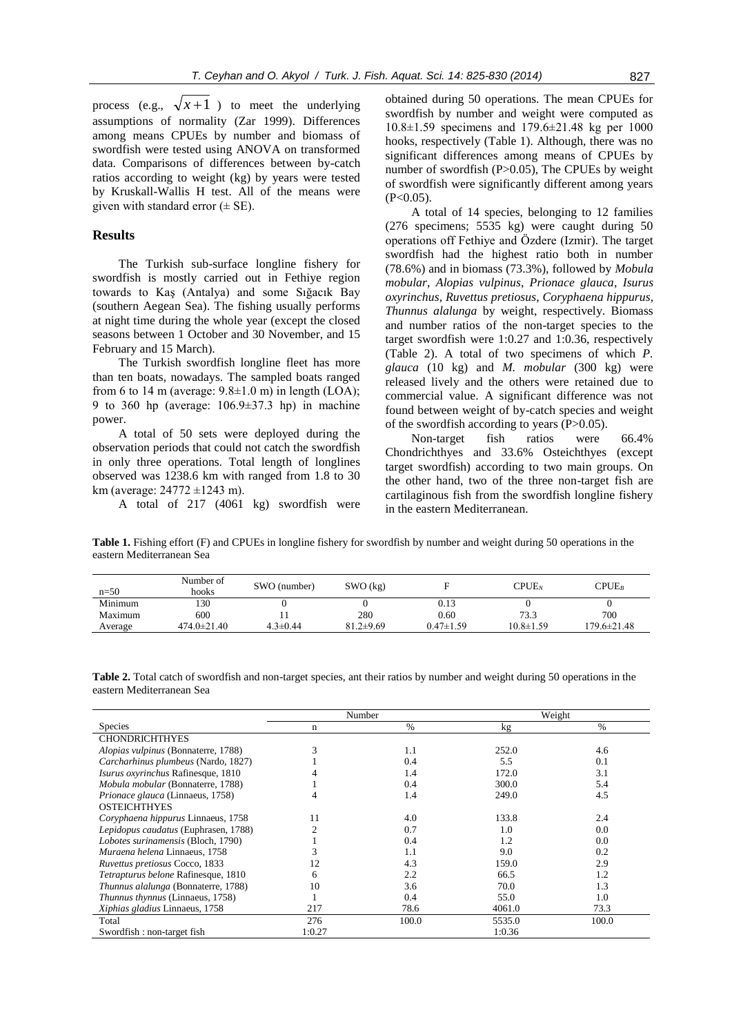process (e.g.,  $\sqrt{x+1}$ ) to meet the underlying assumptions of normality (Zar 1999). Differences among means CPUEs by number and biomass of swordfish were tested using ANOVA on transformed data. Comparisons of differences between by-catch ratios according to weight (kg) by years were tested by Kruskall-Wallis H test. All of the means were given with standard error  $(\pm \text{ SE})$ .

#### **Results**

The Turkish sub-surface longline fishery for swordfish is mostly carried out in Fethiye region towards to Kaş (Antalya) and some Sığacık Bay (southern Aegean Sea). The fishing usually performs at night time during the whole year (except the closed seasons between 1 October and 30 November, and 15 February and 15 March).

The Turkish swordfish longline fleet has more than ten boats, nowadays. The sampled boats ranged from 6 to 14 m (average:  $9.8\pm1.0$  m) in length (LOA); 9 to 360 hp (average: 106.9±37.3 hp) in machine power.

A total of 50 sets were deployed during the observation periods that could not catch the swordfish in only three operations. Total length of longlines observed was 1238.6 km with ranged from 1.8 to 30 km (average: 24772 ±1243 m).

A total of 217 (4061 kg) swordfish were

obtained during 50 operations. The mean CPUEs for swordfish by number and weight were computed as 10.8±1.59 specimens and 179.6±21.48 kg per 1000 hooks, respectively (Table 1). Although, there was no significant differences among means of CPUEs by number of swordfish (P>0.05), The CPUEs by weight of swordfish were significantly different among years  $(P<0.05)$ .

A total of 14 species, belonging to 12 families (276 specimens; 5535 kg) were caught during 50 operations off Fethiye and Özdere (Izmir). The target swordfish had the highest ratio both in number (78.6%) and in biomass (73.3%), followed by *Mobula mobular*, *Alopias vulpinus*, *Prionace glauca*, *Isurus oxyrinchus*, *Ruvettus pretiosus*, *Coryphaena hippurus*, *Thunnus alalunga* by weight, respectively. Biomass and number ratios of the non-target species to the target swordfish were 1:0.27 and 1:0.36, respectively (Table 2). A total of two specimens of which *P. glauca* (10 kg) and *M. mobular* (300 kg) were released lively and the others were retained due to commercial value. A significant difference was not found between weight of by-catch species and weight of the swordfish according to years (P>0.05).

Non-target fish ratios were 66.4% Chondrichthyes and 33.6% Osteichthyes (except target swordfish) according to two main groups. On the other hand, two of the three non-target fish are cartilaginous fish from the swordfish longline fishery in the eastern Mediterranean.

**Table 1.** Fishing effort (F) and CPUEs in longline fishery for swordfish by number and weight during 50 operations in the eastern Mediterranean Sea

| $n=50$  | Number of<br>hooks | SWO (number)   | $SWO$ (kg)      |                 | $\mathrm{CPUE}_N$ | $\text{CPUE}_R$ |
|---------|--------------------|----------------|-----------------|-----------------|-------------------|-----------------|
| Minimum | 130                |                |                 | 0.13            |                   |                 |
| Maximum | 600                |                | 280             | 0.60            | 73.3              | 700             |
| Average | $474.0 \pm 21.40$  | $4.3 \pm 0.44$ | $81.2 \pm 9.69$ | $0.47 \pm 1.59$ | $10.8 \pm 1.59$   | 179.6±21.48     |

**Table 2.** Total catch of swordfish and non-target species, ant their ratios by number and weight during 50 operations in the eastern Mediterranean Sea

|                                         | Number |       | Weight |               |
|-----------------------------------------|--------|-------|--------|---------------|
| <b>Species</b>                          | n      | $\%$  | kg     | $\frac{0}{0}$ |
| <b>CHONDRICHTHYES</b>                   |        |       |        |               |
| Alopias vulpinus (Bonnaterre, 1788)     |        | 1.1   | 252.0  | 4.6           |
| Carcharhinus plumbeus (Nardo, 1827)     |        | 0.4   | 5.5    | 0.1           |
| Isurus oxyrinchus Rafinesque, 1810      |        | 1.4   | 172.0  | 3.1           |
| Mobula mobular (Bonnaterre, 1788)       |        | 0.4   | 300.0  | 5.4           |
| <i>Prionace glauca</i> (Linnaeus, 1758) |        | 1.4   | 249.0  | 4.5           |
| <b>OSTEICHTHYES</b>                     |        |       |        |               |
| Coryphaena hippurus Linnaeus, 1758      |        | 4.0   | 133.8  | 2.4           |
| Lepidopus caudatus (Euphrasen, 1788)    |        | 0.7   | 1.0    | 0.0           |
| Lobotes surinamensis (Bloch, 1790)      |        | 0.4   | 1.2    | 0.0           |
| Muraena helena Linnaeus, 1758           |        | 1.1   | 9.0    | 0.2           |
| <i>Ruvettus pretiosus</i> Cocco, 1833   | 12     | 4.3   | 159.0  | 2.9           |
| Tetrapturus belone Rafinesque, 1810     | 6      | 2.2   | 66.5   | 1.2           |
| Thunnus alalunga (Bonnaterre, 1788)     | 10     | 3.6   | 70.0   | 1.3           |
| <i>Thunnus thynnus</i> (Linnaeus, 1758) |        | 0.4   | 55.0   | 1.0           |
| Xiphias gladius Linnaeus, 1758          | 217    | 78.6  | 4061.0 | 73.3          |
| Total                                   | 276    | 100.0 | 5535.0 | 100.0         |
| Swordfish: non-target fish              | 1:0.27 |       | 1:0.36 |               |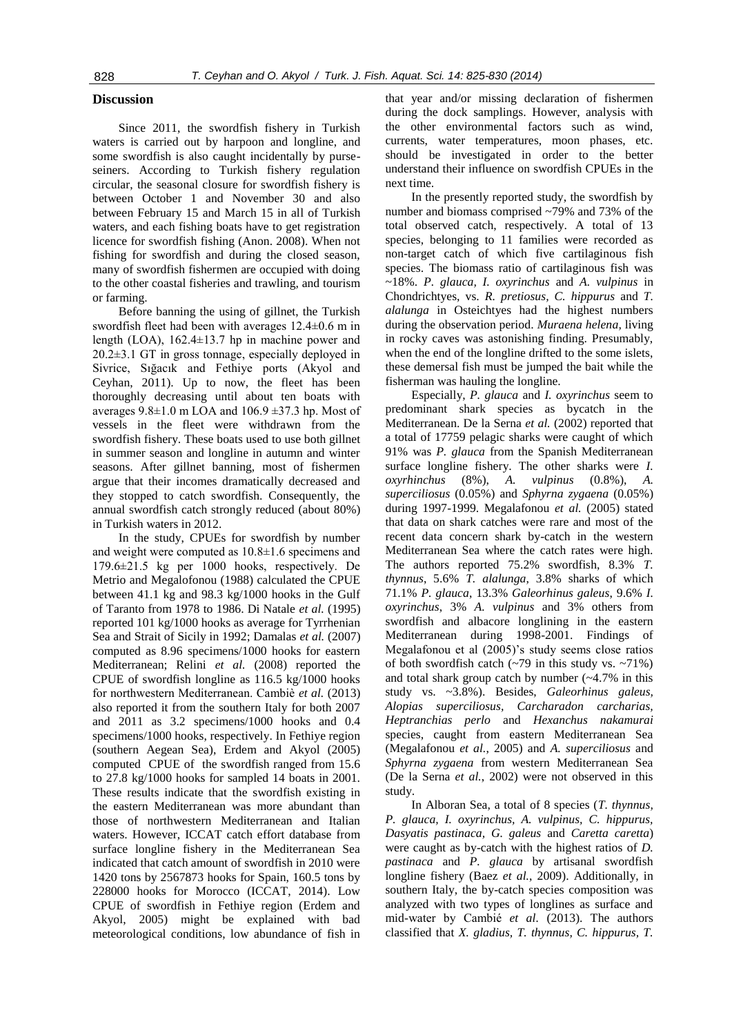#### **Discussion**

Since 2011, the swordfish fishery in Turkish waters is carried out by harpoon and longline, and some swordfish is also caught incidentally by purseseiners. According to Turkish fishery regulation circular, the seasonal closure for swordfish fishery is between October 1 and November 30 and also between February 15 and March 15 in all of Turkish waters, and each fishing boats have to get registration licence for swordfish fishing (Anon. 2008). When not fishing for swordfish and during the closed season, many of swordfish fishermen are occupied with doing to the other coastal fisheries and trawling, and tourism or farming.

Before banning the using of gillnet, the Turkish swordfish fleet had been with averages 12.4±0.6 m in length (LOA), 162.4±13.7 hp in machine power and 20.2±3.1 GT in gross tonnage, especially deployed in Sivrice, Sığacık and Fethiye ports (Akyol and Ceyhan, 2011). Up to now, the fleet has been thoroughly decreasing until about ten boats with averages  $9.8\pm1.0$  m LOA and  $106.9\pm37.3$  hp. Most of vessels in the fleet were withdrawn from the swordfish fishery. These boats used to use both gillnet in summer season and longline in autumn and winter seasons. After gillnet banning, most of fishermen argue that their incomes dramatically decreased and they stopped to catch swordfish. Consequently, the annual swordfish catch strongly reduced (about 80%) in Turkish waters in 2012.

In the study, CPUEs for swordfish by number and weight were computed as 10.8±1.6 specimens and 179.6±21.5 kg per 1000 hooks, respectively. De Metrio and Megalofonou (1988) calculated the CPUE between 41.1 kg and 98.3 kg/1000 hooks in the Gulf of Taranto from 1978 to 1986. Di Natale *et al.* (1995) reported 101 kg/1000 hooks as average for Tyrrhenian Sea and Strait of Sicily in 1992; Damalas *et al.* (2007) computed as 8.96 specimens/1000 hooks for eastern Mediterranean; Relini *et al.* (2008) reported the CPUE of swordfish longline as 116.5 kg/1000 hooks for northwestern Mediterranean. Cambiè *et al.* (2013) also reported it from the southern Italy for both 2007 and 2011 as 3.2 specimens/1000 hooks and 0.4 specimens/1000 hooks, respectively. In Fethiye region (southern Aegean Sea), Erdem and Akyol (2005) computed CPUE of the swordfish ranged from 15.6 to 27.8 kg/1000 hooks for sampled 14 boats in 2001. These results indicate that the swordfish existing in the eastern Mediterranean was more abundant than those of northwestern Mediterranean and Italian waters. However, ICCAT catch effort database from surface longline fishery in the Mediterranean Sea indicated that catch amount of swordfish in 2010 were 1420 tons by 2567873 hooks for Spain, 160.5 tons by 228000 hooks for Morocco (ICCAT, 2014). Low CPUE of swordfish in Fethiye region (Erdem and Akyol, 2005) might be explained with bad meteorological conditions, low abundance of fish in that year and/or missing declaration of fishermen during the dock samplings. However, analysis with the other environmental factors such as wind, currents, water temperatures, moon phases, etc. should be investigated in order to the better understand their influence on swordfish CPUEs in the next time.

In the presently reported study, the swordfish by number and biomass comprised ~79% and 73% of the total observed catch, respectively. A total of 13 species, belonging to 11 families were recorded as non-target catch of which five cartilaginous fish species. The biomass ratio of cartilaginous fish was ~18%. *P. glauca, I. oxyrinchus* and *A. vulpinus* in Chondrichtyes, vs. *R. pretiosus, C. hippurus* and *T. alalunga* in Osteichtyes had the highest numbers during the observation period. *Muraena helena,* living in rocky caves was astonishing finding. Presumably, when the end of the longline drifted to the some islets, these demersal fish must be jumped the bait while the fisherman was hauling the longline.

Especially, *P. glauca* and *I. oxyrinchus* seem to predominant shark species as bycatch in the Mediterranean. De la Serna *et al.* (2002) reported that a total of 17759 pelagic sharks were caught of which 91% was *P. glauca* from the Spanish Mediterranean surface longline fishery. The other sharks were *I. oxyrhinchus* (8%), *A. vulpinus* (0.8%), *A. superciliosus* (0.05%) and *Sphyrna zygaena* (0.05%) during 1997-1999. Megalafonou *et al.* (2005) stated that data on shark catches were rare and most of the recent data concern shark by-catch in the western Mediterranean Sea where the catch rates were high. The authors reported 75.2% swordfish, 8.3% *T. thynnus*, 5.6% *T. alalunga*, 3.8% sharks of which 71.1% *P. glauca*, 13.3% *Galeorhinus galeus*, 9.6% *I. oxyrinchus*, 3% *A. vulpinus* and 3% others from swordfish and albacore longlining in the eastern Mediterranean during 1998-2001. Findings of Megalafonou et al (2005)'s study seems close ratios of both swordfish catch  $(\sim 79)$  in this study vs.  $\sim 71\%$ ) and total shark group catch by number (~4.7% in this study vs. ~3.8%). Besides, *Galeorhinus galeus, Alopias superciliosus, Carcharadon carcharias, Heptranchias perlo* and *Hexanchus nakamurai*  species, caught from eastern Mediterranean Sea (Megalafonou *et al.*, 2005) and *A. superciliosus* and *Sphyrna zygaena* from western Mediterranean Sea (De la Serna *et al.*, 2002) were not observed in this study.

In Alboran Sea, a total of 8 species (*T. thynnus, P. glauca, I. oxyrinchus, A. vulpinus, C. hippurus, Dasyatis pastinaca, G. galeus* and *Caretta caretta*) were caught as by-catch with the highest ratios of *D. pastinaca* and *P. glauca* by artisanal swordfish longline fishery (Baez *et al.*, 2009). Additionally, in southern Italy, the by-catch species composition was analyzed with two types of longlines as surface and mid-water by Cambié *et al.* (2013). The authors classified that *X. gladius, T. thynnus, C. hippurus, T.*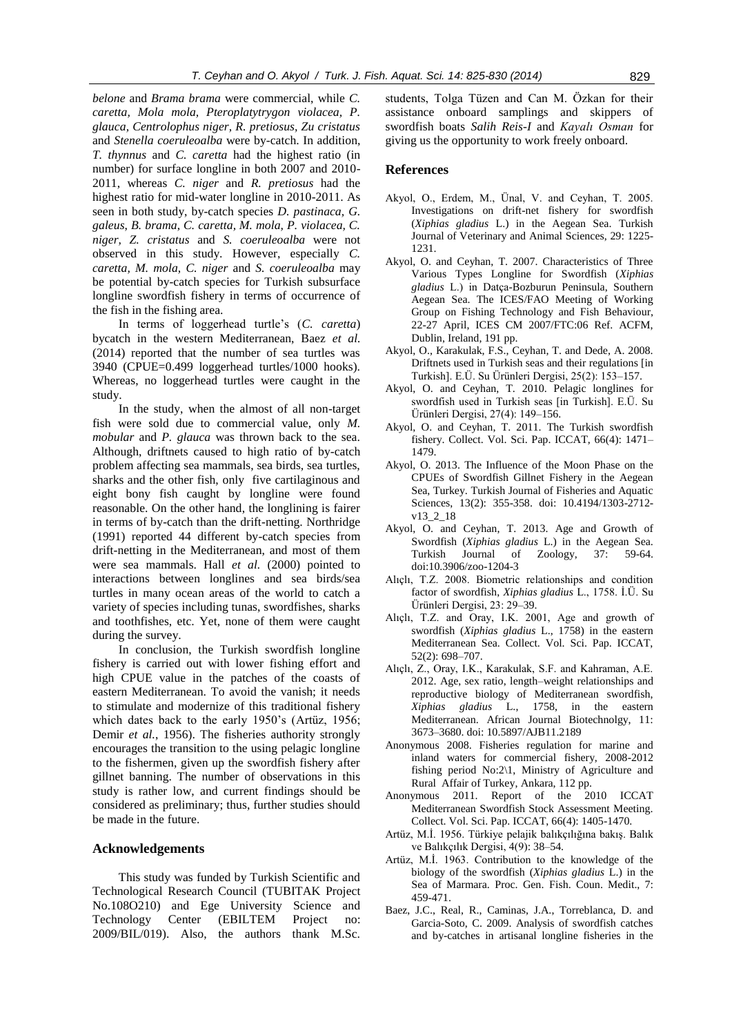*belone* and *Brama brama* were commercial, while *C. caretta, Mola mola, Pteroplatytrygon violacea, P. glauca, Centrolophus niger, R. pretiosus, Zu cristatus*  and *Stenella coeruleoalba* were by-catch. In addition, *T. thynnus* and *C. caretta* had the highest ratio (in number) for surface longline in both 2007 and 2010- 2011, whereas *C. niger* and *R. pretiosus* had the highest ratio for mid-water longline in 2010-2011. As seen in both study, by-catch species *D. pastinaca, G. galeus*, *B. brama*, *C. caretta, M. mola, P. violacea, C. niger, Z. cristatus* and *S. coeruleoalba* were not observed in this study. However, especially *C. caretta, M. mola, C. niger* and *S. coeruleoalba* may be potential by-catch species for Turkish subsurface longline swordfish fishery in terms of occurrence of the fish in the fishing area.

In terms of loggerhead turtle's (*C. caretta*) bycatch in the western Mediterranean, Baez *et al.* (2014) reported that the number of sea turtles was 3940 (CPUE=0.499 loggerhead turtles/1000 hooks). Whereas, no loggerhead turtles were caught in the study.

In the study, when the almost of all non-target fish were sold due to commercial value, only *M. mobular* and *P. glauca* was thrown back to the sea. Although, driftnets caused to high ratio of by-catch problem affecting sea mammals, sea birds, sea turtles, sharks and the other fish, only five cartilaginous and eight bony fish caught by longline were found reasonable. On the other hand, the longlining is fairer in terms of by-catch than the drift-netting. Northridge (1991) reported 44 different by-catch species from drift-netting in the Mediterranean, and most of them were sea mammals. Hall *et al.* (2000) pointed to interactions between longlines and sea birds/sea turtles in many ocean areas of the world to catch a variety of species including tunas, swordfishes, sharks and toothfishes, etc. Yet, none of them were caught during the survey.

In conclusion, the Turkish swordfish longline fishery is carried out with lower fishing effort and high CPUE value in the patches of the coasts of eastern Mediterranean. To avoid the vanish; it needs to stimulate and modernize of this traditional fishery which dates back to the early 1950's (Artüz, 1956; Demir *et al.*, 1956). The fisheries authority strongly encourages the transition to the using pelagic longline to the fishermen, given up the swordfish fishery after gillnet banning. The number of observations in this study is rather low, and current findings should be considered as preliminary; thus, further studies should be made in the future.

#### **Acknowledgements**

This study was funded by Turkish Scientific and Technological Research Council (TUBITAK Project No.108O210) and Ege University Science and Technology Center (EBILTEM Project no: 2009/BIL/019). Also, the authors thank M.Sc. students, Tolga Tüzen and Can M. Özkan for their assistance onboard samplings and skippers of swordfish boats *Salih Reis-I* and *Kayalı Osman* for giving us the opportunity to work freely onboard.

#### **References**

- Akyol, O., Erdem, M., Ünal, V. and Ceyhan, T. 2005. Investigations on drift-net fishery for swordfish (*Xiphias gladius* L.) in the Aegean Sea. Turkish Journal of Veterinary and Animal Sciences, 29: 1225- 1231.
- Akyol, O. and Ceyhan, T. 2007. Characteristics of Three Various Types Longline for Swordfish (*Xiphias gladius* L.) in Datça-Bozburun Peninsula, Southern Aegean Sea. The ICES/FAO Meeting of Working Group on Fishing Technology and Fish Behaviour, 22-27 April, ICES CM 2007/FTC:06 Ref. ACFM, Dublin, Ireland, 191 pp.
- Akyol, O., Karakulak, F.S., Ceyhan, T. and Dede, A. 2008. Driftnets used in Turkish seas and their regulations [in Turkish]. E.Ü. Su Ürünleri Dergisi, 25(2): 153–157.
- Akyol, O. and Ceyhan, T. 2010. Pelagic longlines for swordfish used in Turkish seas [in Turkish]. E.Ü. Su Ürünleri Dergisi, 27(4): 149–156.
- Akyol, O. and Ceyhan, T. 2011. The Turkish swordfish fishery. Collect. Vol. Sci. Pap. ICCAT, 66(4): 1471– 1479.
- Akyol, O. 2013. The Influence of the Moon Phase on the CPUEs of Swordfish Gillnet Fishery in the Aegean Sea, Turkey. Turkish Journal of Fisheries and Aquatic Sciences, 13(2): 355-358. doi: 10.4194/1303-2712 v13\_2\_18
- Akyol, O. and Ceyhan, T. 2013. Age and Growth of Swordfish (*Xiphias gladius* L.) in the Aegean Sea. Turkish Journal of Zoology, 37: 59-64. doi:10.3906/zoo-1204-3
- Alıçlı, T.Z. 2008. Biometric relationships and condition factor of swordfish, *Xiphias gladius* L., 1758. İ.Ü. Su Ürünleri Dergisi, 23: 29–39.
- Alıçlı, T.Z. and Oray, I.K. 2001, Age and growth of swordfish (*Xiphias gladius* L., 1758) in the eastern Mediterranean Sea. Collect. Vol. Sci. Pap. ICCAT, 52(2): 698–707.
- Alıçlı, Z., Oray, I.K., Karakulak, S.F. and Kahraman, A.E. 2012. Age, sex ratio, length–weight relationships and reproductive biology of Mediterranean swordfish, *Xiphias gladius* L., 1758, in the eastern Mediterranean. African Journal Biotechnolgy, 11: 3673–3680. doi: 10.5897/AJB11.2189
- Anonymous 2008. Fisheries regulation for marine and inland waters for commercial fishery, 2008-2012 fishing period No:2\1, Ministry of Agriculture and Rural Affair of Turkey, Ankara, 112 pp.
- Anonymous 2011. Report of the 2010 ICCAT Mediterranean Swordfish Stock Assessment Meeting. Collect. Vol. Sci. Pap. ICCAT, 66(4): 1405-1470.
- Artüz, M.İ. 1956. Türkiye pelajik balıkçılığına bakış. Balık ve Balıkçılık Dergisi, 4(9): 38–54.
- Artüz, M.İ. 1963. Contribution to the knowledge of the biology of the swordfish (*Xiphias gladius* L.) in the Sea of Marmara. Proc. Gen. Fish. Coun. Medit., 7: 459-471.
- Baez, J.C., Real, R., Caminas, J.A., Torreblanca, D. and Garcia-Soto, C. 2009. Analysis of swordfish catches and by-catches in artisanal longline fisheries in the